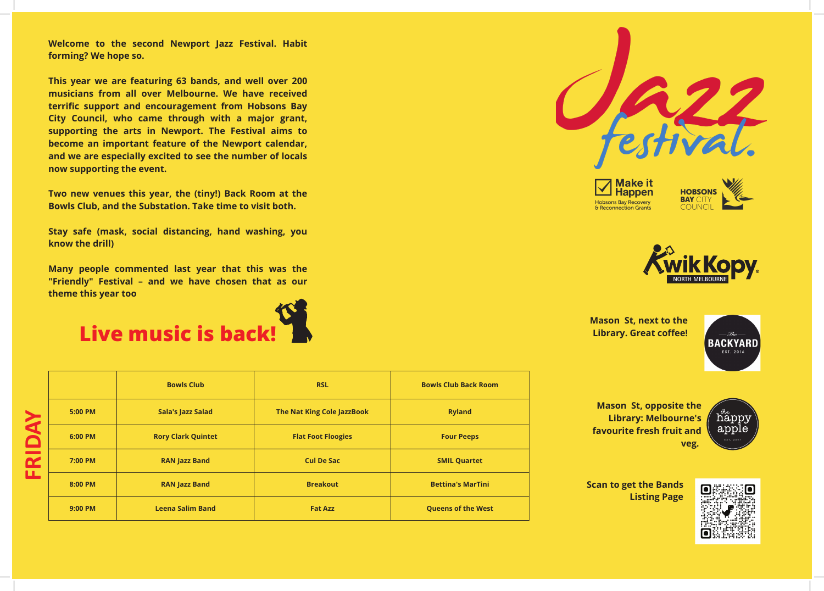**Welcome to the second Newport Jazz Festival. Habit forming? We hope so.**

**This year we are featuring 63 bands, and well over 200 musicians from all over Melbourne. We have received terrific support and encouragement from Hobsons Bay City Council, who came through with a major grant, supporting the arts in Newport. The Festival aims to become an important feature of the Newport calendar, and we are especially excited to see the number of locals now supporting the event.**

|                                                     |         | <b>Bowls Club</b>         | <b>RSL</b>                 | <b>Bowls Club Back Room</b>              |  |  |
|-----------------------------------------------------|---------|---------------------------|----------------------------|------------------------------------------|--|--|
| K<br>$\blacksquare$<br>$\overline{\mathbf{r}}$<br>ட | 5:00 PM | <b>Sala's Jazz Salad</b>  | The Nat King Cole JazzBook | <b>Ryland</b>                            |  |  |
|                                                     | 6:00 PM | <b>Rory Clark Quintet</b> | <b>Flat Foot Floogies</b>  | <b>Four Peeps</b><br><b>SMIL Quartet</b> |  |  |
|                                                     | 7:00 PM | <b>RAN Jazz Band</b>      | <b>Cul De Sac</b>          |                                          |  |  |
|                                                     | 8:00 PM | <b>RAN Jazz Band</b>      | <b>Breakout</b>            | <b>Bettina's MarTini</b>                 |  |  |
|                                                     | 9:00 PM | <b>Leena Salim Band</b>   | <b>Fat Azz</b>             | <b>Queens of the West</b>                |  |  |

**Two new venues this year, the (tiny!) Back Room at the Bowls Club, and the Substation. Take time to visit both.**

**Stay safe (mask, social distancing, hand washing, you know the drill)**

**Many people commented last year that this was the "Friendly" Festival – and we have chosen that as our theme this year too**



**Scan to get the Bands Listing Page**



**Mason St, next to the Library. Great coffee!**





**Mason St, opposite the Library: Melbourne's favourite fresh fruit and veg.**